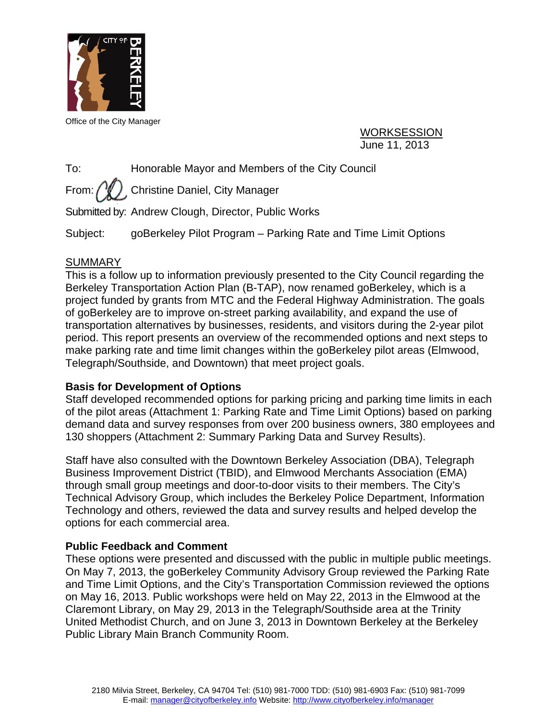

Office of the City Manager

WORKSESSION June 11, 2013

To: Honorable Mayor and Members of the City Council

From:  $\binom{N}{k}$ . Christine Daniel, City Manager

Submitted by: Andrew Clough, Director, Public Works

Subject: goBerkeley Pilot Program – Parking Rate and Time Limit Options

# **SUMMARY**

This is a follow up to information previously presented to the City Council regarding the Berkeley Transportation Action Plan (B-TAP), now renamed goBerkeley, which is a project funded by grants from MTC and the Federal Highway Administration. The goals of goBerkeley are to improve on-street parking availability, and expand the use of transportation alternatives by businesses, residents, and visitors during the 2-year pilot period. This report presents an overview of the recommended options and next steps to make parking rate and time limit changes within the goBerkeley pilot areas (Elmwood, Telegraph/Southside, and Downtown) that meet project goals.

## **Basis for Development of Options**

Staff developed recommended options for parking pricing and parking time limits in each of the pilot areas (Attachment 1: Parking Rate and Time Limit Options) based on parking demand data and survey responses from over 200 business owners, 380 employees and 130 shoppers (Attachment 2: Summary Parking Data and Survey Results).

Staff have also consulted with the Downtown Berkeley Association (DBA), Telegraph Business Improvement District (TBID), and Elmwood Merchants Association (EMA) through small group meetings and door-to-door visits to their members. The City's Technical Advisory Group, which includes the Berkeley Police Department, Information Technology and others, reviewed the data and survey results and helped develop the options for each commercial area.

## **Public Feedback and Comment**

These options were presented and discussed with the public in multiple public meetings. On May 7, 2013, the goBerkeley Community Advisory Group reviewed the Parking Rate and Time Limit Options, and the City's Transportation Commission reviewed the options on May 16, 2013. Public workshops were held on May 22, 2013 in the Elmwood at the Claremont Library, on May 29, 2013 in the Telegraph/Southside area at the Trinity United Methodist Church, and on June 3, 2013 in Downtown Berkeley at the Berkeley Public Library Main Branch Community Room.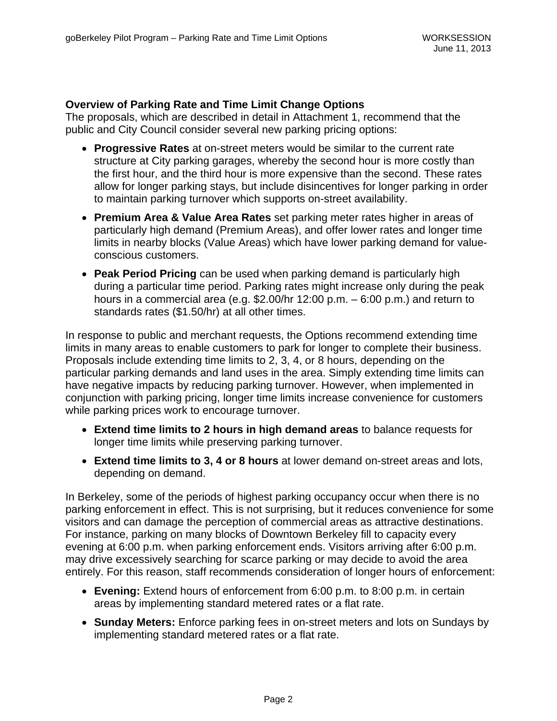### **Overview of Parking Rate and Time Limit Change Options**

The proposals, which are described in detail in Attachment 1, recommend that the public and City Council consider several new parking pricing options:

- **Progressive Rates** at on-street meters would be similar to the current rate structure at City parking garages, whereby the second hour is more costly than the first hour, and the third hour is more expensive than the second. These rates allow for longer parking stays, but include disincentives for longer parking in order to maintain parking turnover which supports on-street availability.
- **Premium Area & Value Area Rates** set parking meter rates higher in areas of particularly high demand (Premium Areas), and offer lower rates and longer time limits in nearby blocks (Value Areas) which have lower parking demand for valueconscious customers.
- **Peak Period Pricing** can be used when parking demand is particularly high during a particular time period. Parking rates might increase only during the peak hours in a commercial area (e.g. \$2.00/hr 12:00 p.m. – 6:00 p.m.) and return to standards rates (\$1.50/hr) at all other times.

In response to public and merchant requests, the Options recommend extending time limits in many areas to enable customers to park for longer to complete their business. Proposals include extending time limits to 2, 3, 4, or 8 hours, depending on the particular parking demands and land uses in the area. Simply extending time limits can have negative impacts by reducing parking turnover. However, when implemented in conjunction with parking pricing, longer time limits increase convenience for customers while parking prices work to encourage turnover.

- **Extend time limits to 2 hours in high demand areas** to balance requests for longer time limits while preserving parking turnover.
- **Extend time limits to 3, 4 or 8 hours** at lower demand on-street areas and lots, depending on demand.

In Berkeley, some of the periods of highest parking occupancy occur when there is no parking enforcement in effect. This is not surprising, but it reduces convenience for some visitors and can damage the perception of commercial areas as attractive destinations. For instance, parking on many blocks of Downtown Berkeley fill to capacity every evening at 6:00 p.m. when parking enforcement ends. Visitors arriving after 6:00 p.m. may drive excessively searching for scarce parking or may decide to avoid the area entirely. For this reason, staff recommends consideration of longer hours of enforcement:

- **Evening:** Extend hours of enforcement from 6:00 p.m. to 8:00 p.m. in certain areas by implementing standard metered rates or a flat rate.
- **Sunday Meters:** Enforce parking fees in on-street meters and lots on Sundays by implementing standard metered rates or a flat rate.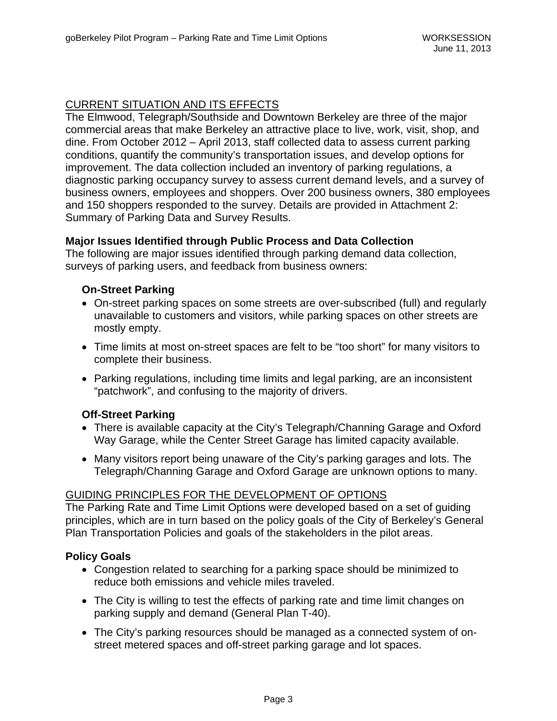## CURRENT SITUATION AND ITS EFFECTS

The Elmwood, Telegraph/Southside and Downtown Berkeley are three of the major commercial areas that make Berkeley an attractive place to live, work, visit, shop, and dine. From October 2012 – April 2013, staff collected data to assess current parking conditions, quantify the community's transportation issues, and develop options for improvement. The data collection included an inventory of parking regulations, a diagnostic parking occupancy survey to assess current demand levels, and a survey of business owners, employees and shoppers. Over 200 business owners, 380 employees and 150 shoppers responded to the survey. Details are provided in Attachment 2: Summary of Parking Data and Survey Results.

#### **Major Issues Identified through Public Process and Data Collection**

The following are major issues identified through parking demand data collection, surveys of parking users, and feedback from business owners:

### **On-Street Parking**

- On-street parking spaces on some streets are over-subscribed (full) and regularly unavailable to customers and visitors, while parking spaces on other streets are mostly empty.
- Time limits at most on-street spaces are felt to be "too short" for many visitors to complete their business.
- Parking regulations, including time limits and legal parking, are an inconsistent "patchwork", and confusing to the majority of drivers.

#### **Off-Street Parking**

- There is available capacity at the City's Telegraph/Channing Garage and Oxford Way Garage, while the Center Street Garage has limited capacity available.
- Many visitors report being unaware of the City's parking garages and lots. The Telegraph/Channing Garage and Oxford Garage are unknown options to many.

#### GUIDING PRINCIPLES FOR THE DEVELOPMENT OF OPTIONS

The Parking Rate and Time Limit Options were developed based on a set of guiding principles, which are in turn based on the policy goals of the City of Berkeley's General Plan Transportation Policies and goals of the stakeholders in the pilot areas.

#### **Policy Goals**

- Congestion related to searching for a parking space should be minimized to reduce both emissions and vehicle miles traveled.
- The City is willing to test the effects of parking rate and time limit changes on parking supply and demand (General Plan T-40).
- The City's parking resources should be managed as a connected system of onstreet metered spaces and off-street parking garage and lot spaces.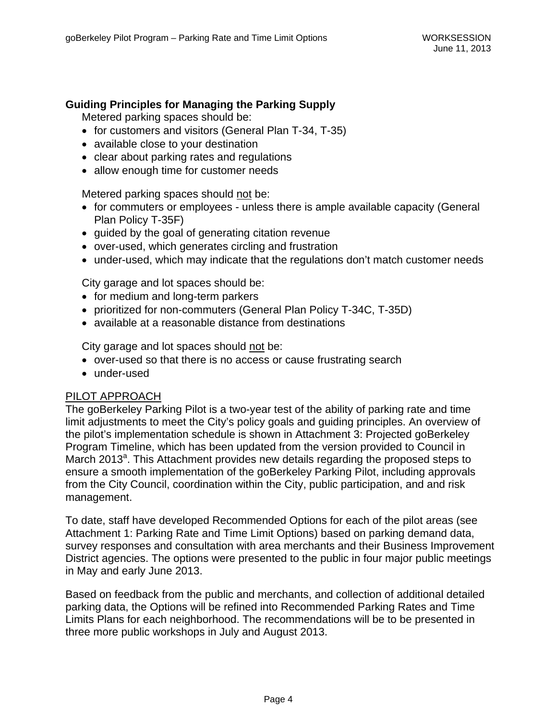### **Guiding Principles for Managing the Parking Supply**

Metered parking spaces should be:

- for customers and visitors (General Plan T-34, T-35)
- available close to your destination
- clear about parking rates and regulations
- allow enough time for customer needs

Metered parking spaces should not be:

- for commuters or employees unless there is ample available capacity (General Plan Policy T-35F)
- quided by the goal of generating citation revenue
- over-used, which generates circling and frustration
- under-used, which may indicate that the regulations don't match customer needs

City garage and lot spaces should be:

- for medium and long-term parkers
- prioritized for non-commuters (General Plan Policy T-34C, T-35D)
- available at a reasonable distance from destinations

City garage and lot spaces should not be:

- over-used so that there is no access or cause frustrating search
- under-used

#### PILOT APPROACH

The goBerkeley Parking Pilot is a two-year test of the ability of parking rate and time limit adjustments to meet the City's policy goals and guiding principles. An overview of the pilot's implementation schedule is shown in Attachment 3: Projected goBerkeley Program Timeline, which has been updated from the version provided to Council in March 2013<sup>a</sup>. This Attachment provides new details regarding the proposed steps to ensure a smooth implementation of the goBerkeley Parking Pilot, including approvals from the City Council, coordination within the City, public participation, and and risk management.

To date, staff have developed Recommended Options for each of the pilot areas (see Attachment 1: Parking Rate and Time Limit Options) based on parking demand data, survey responses and consultation with area merchants and their Business Improvement District agencies. The options were presented to the public in four major public meetings in May and early June 2013.

Based on feedback from the public and merchants, and collection of additional detailed parking data, the Options will be refined into Recommended Parking Rates and Time Limits Plans for each neighborhood. The recommendations will be to be presented in three more public workshops in July and August 2013.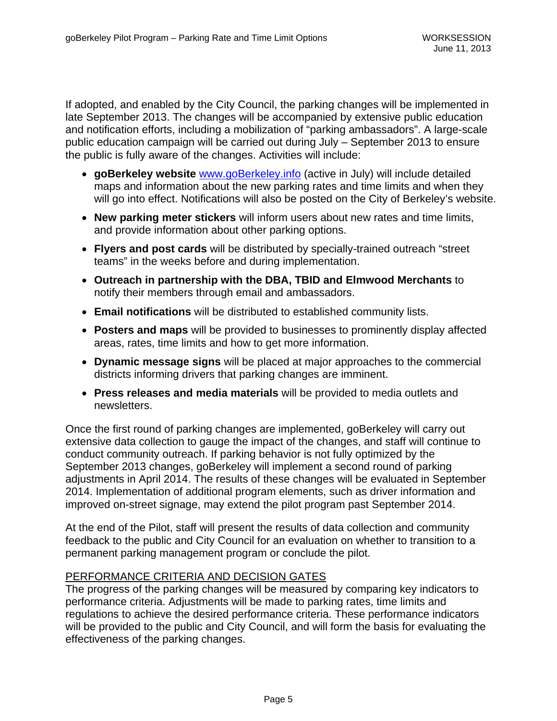If adopted, and enabled by the City Council, the parking changes will be implemented in late September 2013. The changes will be accompanied by extensive public education and notification efforts, including a mobilization of "parking ambassadors". A large-scale public education campaign will be carried out during July – September 2013 to ensure the public is fully aware of the changes. Activities will include:

- **goBerkeley website** www.goBerkeley.info (active in July) will include detailed maps and information about the new parking rates and time limits and when they will go into effect. Notifications will also be posted on the City of Berkeley's website.
- **New parking meter stickers** will inform users about new rates and time limits, and provide information about other parking options.
- **Flyers and post cards** will be distributed by specially-trained outreach "street teams" in the weeks before and during implementation.
- **Outreach in partnership with the DBA, TBID and Elmwood Merchants** to notify their members through email and ambassadors.
- **Email notifications** will be distributed to established community lists.
- **Posters and maps** will be provided to businesses to prominently display affected areas, rates, time limits and how to get more information.
- **Dynamic message signs** will be placed at major approaches to the commercial districts informing drivers that parking changes are imminent.
- **Press releases and media materials** will be provided to media outlets and newsletters.

Once the first round of parking changes are implemented, goBerkeley will carry out extensive data collection to gauge the impact of the changes, and staff will continue to conduct community outreach. If parking behavior is not fully optimized by the September 2013 changes, goBerkeley will implement a second round of parking adjustments in April 2014. The results of these changes will be evaluated in September 2014. Implementation of additional program elements, such as driver information and improved on-street signage, may extend the pilot program past September 2014.

At the end of the Pilot, staff will present the results of data collection and community feedback to the public and City Council for an evaluation on whether to transition to a permanent parking management program or conclude the pilot.

#### PERFORMANCE CRITERIA AND DECISION GATES

The progress of the parking changes will be measured by comparing key indicators to performance criteria. Adjustments will be made to parking rates, time limits and regulations to achieve the desired performance criteria. These performance indicators will be provided to the public and City Council, and will form the basis for evaluating the effectiveness of the parking changes.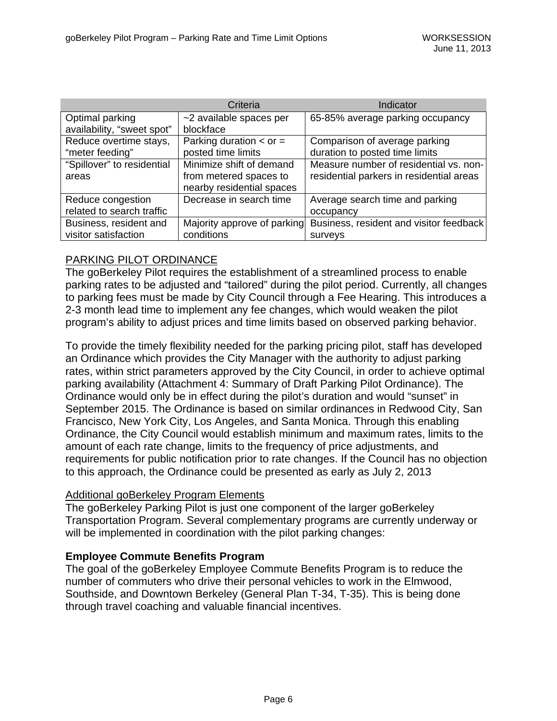|                            | Criteria                      | Indicator                                |
|----------------------------|-------------------------------|------------------------------------------|
| Optimal parking            | ~2 available spaces per       | 65-85% average parking occupancy         |
| availability, "sweet spot" | blockface                     |                                          |
| Reduce overtime stays,     | Parking duration $\lt$ or $=$ | Comparison of average parking            |
| "meter feeding"            | posted time limits            | duration to posted time limits           |
| "Spillover" to residential | Minimize shift of demand      | Measure number of residential vs. non-   |
| areas                      | from metered spaces to        | residential parkers in residential areas |
|                            | nearby residential spaces     |                                          |
| Reduce congestion          | Decrease in search time       | Average search time and parking          |
| related to search traffic  |                               | occupancy                                |
| Business, resident and     | Majority approve of parking   | Business, resident and visitor feedback  |
| visitor satisfaction       | conditions                    | surveys                                  |

## PARKING PILOT ORDINANCE

The goBerkeley Pilot requires the establishment of a streamlined process to enable parking rates to be adjusted and "tailored" during the pilot period. Currently, all changes to parking fees must be made by City Council through a Fee Hearing. This introduces a 2-3 month lead time to implement any fee changes, which would weaken the pilot program's ability to adjust prices and time limits based on observed parking behavior.

To provide the timely flexibility needed for the parking pricing pilot, staff has developed an Ordinance which provides the City Manager with the authority to adjust parking rates, within strict parameters approved by the City Council, in order to achieve optimal parking availability (Attachment 4: Summary of Draft Parking Pilot Ordinance). The Ordinance would only be in effect during the pilot's duration and would "sunset" in September 2015. The Ordinance is based on similar ordinances in Redwood City, San Francisco, New York City, Los Angeles, and Santa Monica. Through this enabling Ordinance, the City Council would establish minimum and maximum rates, limits to the amount of each rate change, limits to the frequency of price adjustments, and requirements for public notification prior to rate changes. If the Council has no objection to this approach, the Ordinance could be presented as early as July 2, 2013

#### Additional goBerkeley Program Elements

The goBerkeley Parking Pilot is just one component of the larger goBerkeley Transportation Program. Several complementary programs are currently underway or will be implemented in coordination with the pilot parking changes:

#### **Employee Commute Benefits Program**

The goal of the goBerkeley Employee Commute Benefits Program is to reduce the number of commuters who drive their personal vehicles to work in the Elmwood, Southside, and Downtown Berkeley (General Plan T-34, T-35). This is being done through travel coaching and valuable financial incentives.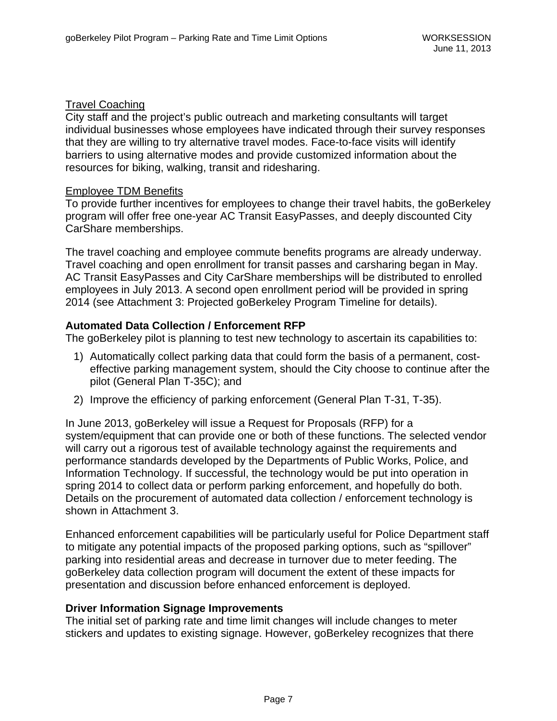### Travel Coaching

City staff and the project's public outreach and marketing consultants will target individual businesses whose employees have indicated through their survey responses that they are willing to try alternative travel modes. Face-to-face visits will identify barriers to using alternative modes and provide customized information about the resources for biking, walking, transit and ridesharing.

#### Employee TDM Benefits

To provide further incentives for employees to change their travel habits, the goBerkeley program will offer free one-year AC Transit EasyPasses, and deeply discounted City CarShare memberships.

The travel coaching and employee commute benefits programs are already underway. Travel coaching and open enrollment for transit passes and carsharing began in May. AC Transit EasyPasses and City CarShare memberships will be distributed to enrolled employees in July 2013. A second open enrollment period will be provided in spring 2014 (see Attachment 3: Projected goBerkeley Program Timeline for details).

### **Automated Data Collection / Enforcement RFP**

The goBerkeley pilot is planning to test new technology to ascertain its capabilities to:

- 1) Automatically collect parking data that could form the basis of a permanent, costeffective parking management system, should the City choose to continue after the pilot (General Plan T-35C); and
- 2) Improve the efficiency of parking enforcement (General Plan T-31, T-35).

In June 2013, goBerkeley will issue a Request for Proposals (RFP) for a system/equipment that can provide one or both of these functions. The selected vendor will carry out a rigorous test of available technology against the requirements and performance standards developed by the Departments of Public Works, Police, and Information Technology. If successful, the technology would be put into operation in spring 2014 to collect data or perform parking enforcement, and hopefully do both. Details on the procurement of automated data collection / enforcement technology is shown in Attachment 3.

Enhanced enforcement capabilities will be particularly useful for Police Department staff to mitigate any potential impacts of the proposed parking options, such as "spillover" parking into residential areas and decrease in turnover due to meter feeding. The goBerkeley data collection program will document the extent of these impacts for presentation and discussion before enhanced enforcement is deployed.

#### **Driver Information Signage Improvements**

The initial set of parking rate and time limit changes will include changes to meter stickers and updates to existing signage. However, goBerkeley recognizes that there